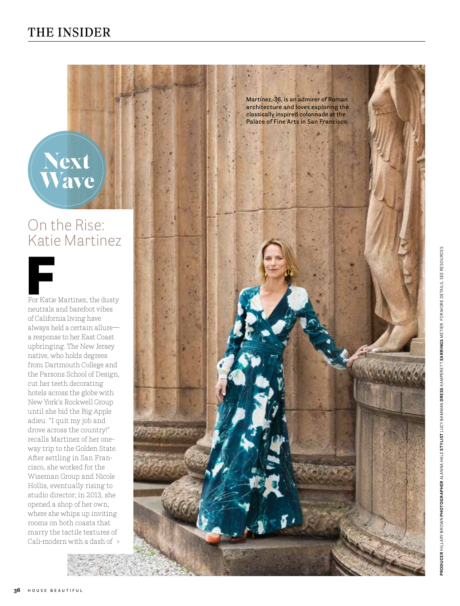

Next

Wave

Cali-modern with a dash of > For Katie Martinez, the dusty neutrals and barefoot vibes of California living have always held a certain allure a response to her East Coast upbringing. The New Jersey native, who holds degrees from Dartmouth College and the Parsons School of Design, cut her teeth decorating hotels across the globe with New York's Rockwell Group until she bid the Big Apple adieu. "I quit my job and drove across the country!" recalls Martinez of her oneway trip to the Golden State. After settling in San Fran cisco, she worked for the Wiseman Group and Nicole Hollis, eventually rising to studio director; in 2013, she opened a shop of her own, where she whips up inviting rooms on both coasts that marry the tactile textures of For Katie Martinez, the dust<br>neutrals and barefoot vibes<br>of California living have<br>always held a certain allure-<br>a response to her East Coast<br>upbringing. The New Jersey<br>native, who holds degrees<br>from Dartmouth College an<br>t



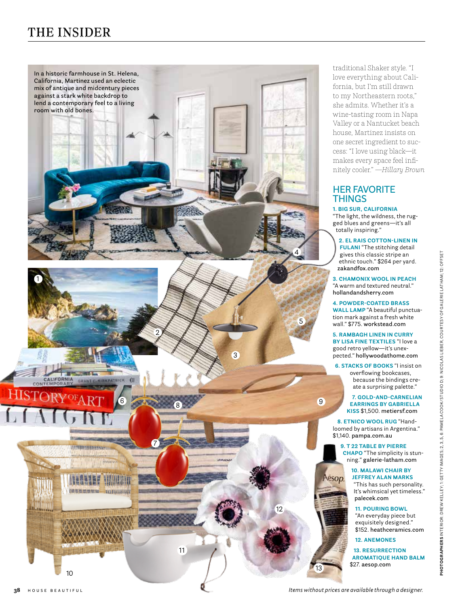## THE INSIDER



traditional Shaker style. "I love everything about Cali fornia, but I'm still drawn to my Northeastern roots," she admits. Whether it's a wine-tasting room in Napa Valley or a Nantucket beach house, Martinez insists on one secret ingredient to suc cess: "I love using black—it makes every space feel infi nitely cooler." *—Hillary Brown*

## **HER FAVORITE THINGS**

**1. BIG SUR, CALIFORNIA** "The light, the wildness, the rug ged blues and greens—it's all totally inspiring."

**2. EL RAIS COTTON-LINEN IN FULANI** "The stitching detail gives this classic stripe an ethnic touch." \$264 per yard. **zakandfox.com**

**3. CHAMONIX WOOL IN PEACH** "A warm and textured neutral." **hollandandsherry.com**

**4. POWDER-COATED BRASS WALL LAMP** "A beautiful punctua tion mark against a fresh white wall." \$775. **workstead.com**

**5. RAMBAGH LINEN IN CURRY BY LISA FINE TEXTILES** "I love a good retro yellow—it's unex pected." **hollywoodathome.com**

**6. STACKS OF BOOKS** "I insist on overflowing bookcases, because the bindings cre ate a surprising palette."

**7. GOLD-AND-CARNELIAN EARRINGS BY GABRIELLA KISS** \$1,500. **metiersf.com**

**8. ETNICO WOOL RUG** "Handloomed by artisans in Argentina." \$1,140. **pampa.com.au**

**9. T 22 TABLE BY PIERRE CHAPO** "The simplicity is stun ning." **galerie-latham.com**

## **10. MALAWI CHAIR BY JEFFREY ALAN MARKS**

"This has such personality. It's whimsical yet timeless." **palecek.com**

**11. POURING BOWL**

"An everyday piece but exquisitely designed." \$152. **heathceramics.com**

**12. ANEMONES**

**13. RESURRECTION AROMATIQUE HAND BALM** \$27. **aesop.com**